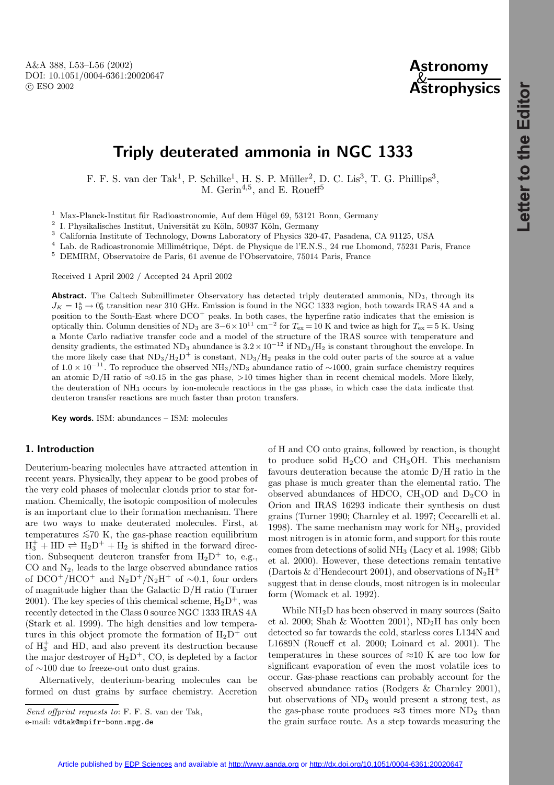# **Astronomy** & **Astrophysics**

# **Triply deuterated ammonia in NGC 1333**

F. F. S. van der Tak<sup>1</sup>, P. Schilke<sup>1</sup>, H. S. P. Müller<sup>2</sup>, D. C. Lis<sup>3</sup>, T. G. Phillips<sup>3</sup>, M. Gerin<sup>4,5</sup>, and E. Roueff<sup>5</sup>

 $^{\rm 1}$ Max-Planck-Institut für Radioastronomie, Auf dem Hügel 69, 53121 Bonn, Germany

 $^2\,$ I. Physikalisches Institut, Universität zu Köln, 50937 Köln, Germany

<sup>3</sup> California Institute of Technology, Downs Laboratory of Physics 320-47, Pasadena, CA 91125, USA

Lab. de Radioastronomie Millimétrique, Dépt. de Physique de l'E.N.S., 24 rue Lhomond, 75231 Paris, France

<sup>5</sup> DEMIRM, Observatoire de Paris, 61 avenue de l'Observatoire, 75014 Paris, France

Received 1 April 2002 / Accepted 24 April 2002

**Abstract.** The Caltech Submillimeter Observatory has detected triply deuterated ammonia, ND<sub>3</sub>, through its  $J_K = 1_0^a \rightarrow 0_0^s$  transition near 310 GHz. Emission is found in the NGC 1333 region, both towards IRAS 4A and a position to the South-East where DCO<sup>+</sup> peaks. In both cases, the hyperfine ratio indicates that the emission is optically thin. Column densities of ND<sub>3</sub> are  $3-6\times10^{11}$  cm<sup>-2</sup> for  $T_{ex} = 10$  K and twice as high for  $T_{ex} = 5$  K. Using a Monte Carlo radiative transfer code and a model of the structure of the IRAS source with temperature and density gradients, the estimated ND<sub>3</sub> abundance is  $3.2 \times 10^{-12}$  if ND<sub>3</sub>/H<sub>2</sub> is constant throughout the envelope. In the more likely case that  $ND_3/H_2D^+$  is constant,  $ND_3/H_2$  peaks in the cold outer parts of the source at a value of  $1.0 \times 10^{-11}$ . To reproduce the observed NH<sub>3</sub>/ND<sub>3</sub> abundance ratio of ~1000, grain surface chemistry requires an atomic D/H ratio of ≈0.15 in the gas phase, >10 times higher than in recent chemical models. More likely, the deuteration of NH<sup>3</sup> occurs by ion-molecule reactions in the gas phase, in which case the data indicate that deuteron transfer reactions are much faster than proton transfers.

**Key words.** ISM: abundances – ISM: molecules

#### **1. Introduction**

Deuterium-bearing molecules have attracted attention in recent years. Physically, they appear to be good probes of the very cold phases of molecular clouds prior to star formation. Chemically, the isotopic composition of molecules is an important clue to their formation mechanism. There are two ways to make deuterated molecules. First, at temperatures  $\leq 70$  K, the gas-phase reaction equilibrium  $H_3^+$  + HD  $\rightleftharpoons$   $H_2D^+$  +  $H_2$  is shifted in the forward direction. Subsequent deuteron transfer from  $H_2D^+$  to, e.g.,  $CO$  and  $N_2$ , leads to the large observed abundance ratios of DCO<sup>+</sup>/HCO<sup>+</sup> and N<sub>2</sub>D<sup>+</sup>/N<sub>2</sub>H<sup>+</sup> of ∼0.1, four orders of magnitude higher than the Galactic D/H ratio (Turner 2001). The key species of this chemical scheme,  $H_2D^+$ , was recently detected in the Class 0 source NGC 1333 IRAS 4A (Stark et al. 1999). The high densities and low temperatures in this object promote the formation of  $H_2D^+$  out of  $H_3^+$  and HD, and also prevent its destruction because the major destroyer of  $H_2D^+$ , CO, is depleted by a factor of ∼100 due to freeze-out onto dust grains.

Alternatively, deuterium-bearing molecules can be formed on dust grains by surface chemistry. Accretion

Send offprint requests to: F. F. S. van der Tak, e-mail: vdtak@mpifr-bonn.mpg.de

of H and CO onto grains, followed by reaction, is thought to produce solid  $H_2CO$  and  $CH_3OH$ . This mechanism favours deuteration because the atomic D/H ratio in the gas phase is much greater than the elemental ratio. The observed abundances of HDCO,  $CH<sub>3</sub>OD$  and  $D<sub>2</sub>CO$  in Orion and IRAS 16293 indicate their synthesis on dust grains (Turner 1990; Charnley et al. 1997; Ceccarelli et al. 1998). The same mechanism may work for  $NH<sub>3</sub>$ , provided most nitrogen is in atomic form, and support for this route comes from detections of solid NH<sup>3</sup> (Lacy et al. 1998; Gibb et al. 2000). However, these detections remain tentative (Dartois & d'Hendecourt 2001), and observations of  $N_2H^+$ suggest that in dense clouds, most nitrogen is in molecular form (Womack et al. 1992).

While NH<sub>2</sub>D has been observed in many sources (Saito et al. 2000; Shah & Wootten 2001),  $ND<sub>2</sub>H$  has only been detected so far towards the cold, starless cores L134N and L1689N (Roueff et al. 2000; Loinard et al. 2001). The temperatures in these sources of  $\approx 10$  K are too low for significant evaporation of even the most volatile ices to occur. Gas-phase reactions can probably account for the observed abundance ratios (Rodgers & Charnley 2001), but observations of  $ND_3$  would present a strong test, as the gas-phase route produces  $\approx 3$  times more ND<sub>3</sub> than the grain surface route. As a step towards measuring the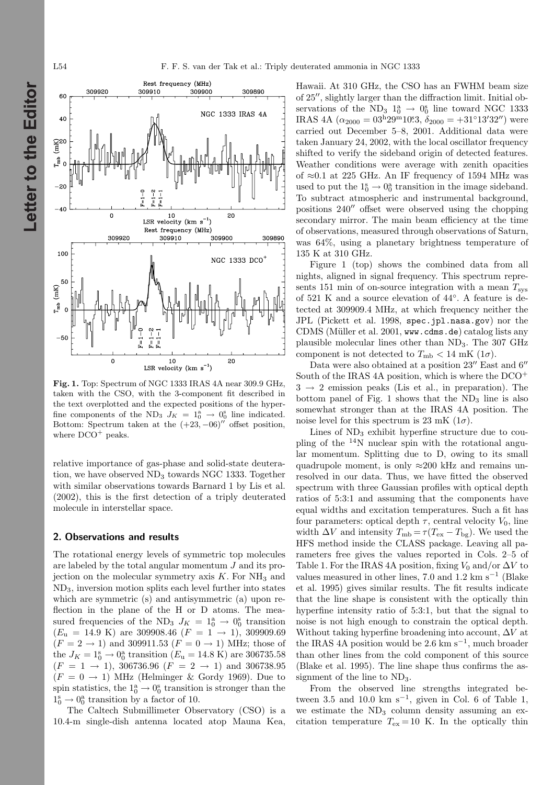

**Fig. 1.** Top: Spectrum of NGC 1333 IRAS 4A near 309.9 GHz, taken with the CSO, with the 3-component fit described in the text overplotted and the expected positions of the hyperfine components of the ND<sub>3</sub>  $J_K = 1_0^a \rightarrow 0_0^s$  line indicated. Bottom: Spectrum taken at the  $(+23, -06)$ <sup>"</sup> offset position, where  $DCO<sup>+</sup>$  peaks.

relative importance of gas-phase and solid-state deuteration, we have observed  $ND_3$  towards NGC 1333. Together with similar observations towards Barnard 1 by Lis et al. (2002), this is the first detection of a triply deuterated molecule in interstellar space.

# **2. Observations and results**

The rotational energy levels of symmetric top molecules are labeled by the total angular momentum J and its projection on the molecular symmetry axis  $K$ . For  $NH<sub>3</sub>$  and ND3, inversion motion splits each level further into states which are symmetric (s) and antisymmetric (a) upon reflection in the plane of the H or D atoms. The measured frequencies of the ND<sub>3</sub>  $J_K = 1_0^a \rightarrow 0_0^s$  transition  $(E_u = 14.9 \text{ K})$  are 309908.46  $(F = 1 \rightarrow 1)$ , 309909.69  $(F = 2 \rightarrow 1)$  and 309911.53  $(F = 0 \rightarrow 1)$  MHz; those of the  $J_K = 1_0^8 \rightarrow 0_0^8$  transition  $(E_u = 14.8 \text{ K})$  are 306735.58  $(F = 1 \rightarrow 1)$ , 306736.96  $(F = 2 \rightarrow 1)$  and 306738.95  $(F = 0 \rightarrow 1)$  MHz (Helminger & Gordy 1969). Due to spin statistics, the  $1^a_0 \rightarrow 0^s_0$  transition is stronger than the  $1_0^s \rightarrow 0_0^a$  transition by a factor of 10.

The Caltech Submillimeter Observatory (CSO) is a 10.4-m single-dish antenna located atop Mauna Kea,

Hawaii. At 310 GHz, the CSO has an FWHM beam size of  $25$ ", slightly larger than the diffraction limit. Initial observations of the ND<sub>3</sub>  $1^{\text{a}}_{0} \rightarrow 0^{\text{s}}_{0}$  line toward NGC 1333 IRAS 4A  $(\alpha_{2000} = 03^{\text{h}} 29^{\text{m}} 10^{\text{s}} 3, \delta_{2000} = +31^{\circ} 13' 32'')$  were carried out December 5–8, 2001. Additional data were taken January 24, 2002, with the local oscillator frequency shifted to verify the sideband origin of detected features. Weather conditions were average with zenith opacities of ≈0.1 at 225 GHz. An IF frequency of 1594 MHz was used to put the  $1_0^s \rightarrow 0_0^a$  transition in the image sideband. To subtract atmospheric and instrumental background, positions  $240''$  offset were observed using the chopping secondary mirror. The main beam efficiency at the time of observations, measured through observations of Saturn, was 64%, using a planetary brightness temperature of 135 K at 310 GHz.

Figure 1 (top) shows the combined data from all nights, aligned in signal frequency. This spectrum represents 151 min of on-source integration with a mean  $T_{\rm sys}$ of 521 K and a source elevation of 44◦. A feature is detected at 309909.4 MHz, at which frequency neither the JPL (Pickett et al. 1998, spec.jpl.nasa.gov) nor the CDMS (Müller et al. 2001, www.cdms.de) catalog lists any plausible molecular lines other than ND3. The 307 GHz component is not detected to  $T_{\text{mb}} < 14 \text{ mK } (1\sigma)$ .

Data were also obtained at a position  $23^{\prime\prime}$  East and  $6^{\prime\prime}$ South of the IRAS 4A position, which is where the  $DCO^+$  $3 \rightarrow 2$  emission peaks (Lis et al., in preparation). The bottom panel of Fig. 1 shows that the  $ND_3$  line is also somewhat stronger than at the IRAS 4A position. The noise level for this spectrum is 23 mK  $(1\sigma)$ .

Lines of  $ND_3$  exhibit hyperfine structure due to coupling of the <sup>14</sup>N nuclear spin with the rotational angular momentum. Splitting due to D, owing to its small quadrupole moment, is only  $\approx 200$  kHz and remains unresolved in our data. Thus, we have fitted the observed spectrum with three Gaussian profiles with optical depth ratios of 5:3:1 and assuming that the components have equal widths and excitation temperatures. Such a fit has four parameters: optical depth  $\tau$ , central velocity  $V_0$ , line width  $\Delta V$  and intensity  $T_{\rm mb} = \tau (T_{\rm ex} - T_{\rm bg})$ . We used the HFS method inside the CLASS package. Leaving all parameters free gives the values reported in Cols. 2–5 of Table 1. For the IRAS 4A position, fixing  $V_0$  and/or  $\Delta V$  to values measured in other lines, 7.0 and 1.2 km s<sup>-1</sup> (Blake et al. 1995) gives similar results. The fit results indicate that the line shape is consistent with the optically thin hyperfine intensity ratio of 5:3:1, but that the signal to noise is not high enough to constrain the optical depth. Without taking hyperfine broadening into account, ∆V at the IRAS 4A position would be 2.6 km s<sup> $-1$ </sup>, much broader than other lines from the cold component of this source (Blake et al. 1995). The line shape thus confirms the assignment of the line to  $ND_3$ .

From the observed line strengths integrated between 3.5 and 10.0 km s<sup>-1</sup>, given in Col. 6 of Table 1, we estimate the  $ND_3$  column density assuming an excitation temperature  $T_{ex} = 10$  K. In the optically thin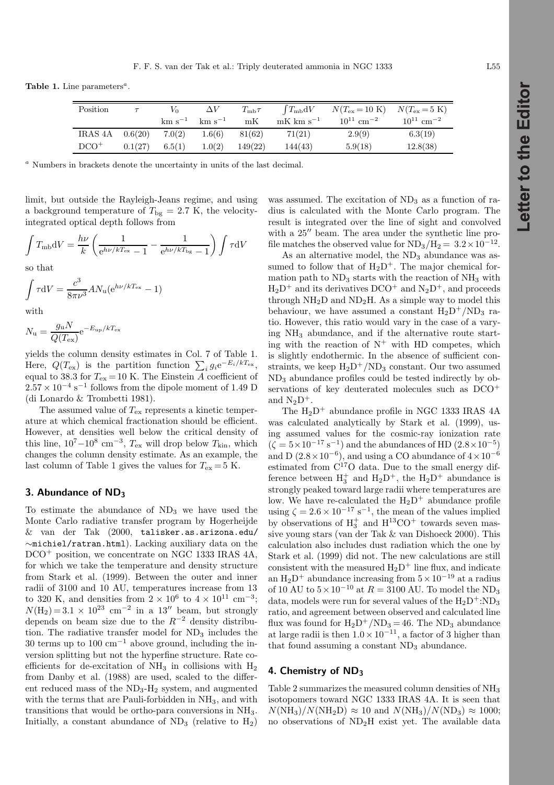Table 1. Line parameters<sup>a</sup>.

| Position                |         | V <sub>0</sub> | $\Delta V$             | $T_{\rm mb}\tau$ | $T_{\rm mb} dV$         | $N(T_{\rm ex} = 10 \text{ K})$ $N(T_{\rm ex} = 5 \text{ K})$ |                            |
|-------------------------|---------|----------------|------------------------|------------------|-------------------------|--------------------------------------------------------------|----------------------------|
|                         |         | $km s^{-1}$    | $~\rm{km}~\rm{s}^{-1}$ | mK               | $mK$ km s <sup>-1</sup> | $10^{11}$ cm <sup>-2</sup>                                   | $10^{11}$ cm <sup>-2</sup> |
| IRAS $4A \quad 0.6(20)$ |         | 7.0(2)         | 1.6(6)                 | 81(62)           | 71(21)                  | 2.9(9)                                                       | 6.3(19)                    |
| $DCO+$                  | 0.1(27) | 6.5(1)         | 1.0(2)                 | 149(22)          | 144(43)                 | 5.9(18)                                                      | 12.8(38)                   |

<sup>a</sup> Numbers in brackets denote the uncertainty in units of the last decimal.

limit, but outside the Rayleigh-Jeans regime, and using a background temperature of  $T_{\text{bg}} = 2.7$  K, the velocityintegrated optical depth follows from

$$
\int T_{\rm mb} \mathrm{d}V = \frac{h\nu}{k} \left( \frac{1}{e^{h\nu/kT_{\rm ex}} - 1} - \frac{1}{e^{h\nu/kT_{\rm bg}} - 1} \right) \int \tau \mathrm{d}V
$$

so that

$$
\int \tau dV = \frac{c^3}{8\pi\nu^3} A N_u (e^{h\nu/kT_{ex}} - 1)
$$

with

$$
N_{\rm u} = \frac{g_{\rm u} N}{Q(T_{\rm ex})} e^{-E_{\rm up}/kT_{\rm ex}}
$$

yields the column density estimates in Col. 7 of Table 1. Here,  $Q(T_{\text{ex}})$  is the partition function  $\sum_i g_i e^{-E_i/kT_{\text{ex}}},$ equal to 38.3 for  $T_{\text{ex}} = 10$  K. The Einstein A coefficient of  $2.57 \times 10^{-4}$  s<sup>-1</sup> follows from the dipole moment of 1.49 D (di Lonardo & Trombetti 1981).

The assumed value of  $T_{\text{ex}}$  represents a kinetic temperature at which chemical fractionation should be efficient. However, at densities well below the critical density of this line,  $10^7-10^8$  cm<sup>-3</sup>,  $T_{ex}$  will drop below  $T_{kin}$ , which changes the column density estimate. As an example, the last column of Table 1 gives the values for  $T_{ex} = 5$  K.

## **3. Abundance of ND3**

To estimate the abundance of  $ND_3$  we have used the Monte Carlo radiative transfer program by Hogerheijde & van der Tak (2000, talisker.as.arizona.edu/ ∼michiel/ratran.html). Lacking auxiliary data on the  $DCO<sup>+</sup>$  position, we concentrate on NGC 1333 IRAS 4A, for which we take the temperature and density structure from Stark et al. (1999). Between the outer and inner radii of 3100 and 10 AU, temperatures increase from 13 to 320 K, and densities from  $2 \times 10^6$  to  $4 \times 10^{11}$  cm<sup>-3</sup>;  $N(H_2)=3.1 \times 10^{23}$  cm<sup>-2</sup> in a 13" beam, but strongly depends on beam size due to the  $R^{-2}$  density distribution. The radiative transfer model for  $ND<sub>3</sub>$  includes the 30 terms up to  $100 \text{ cm}^{-1}$  above ground, including the inversion splitting but not the hyperfine structure. Rate coefficients for de-excitation of  $NH_3$  in collisions with  $H_2$ from Danby et al. (1988) are used, scaled to the different reduced mass of the  $ND_3-H_2$  system, and augmented with the terms that are Pauli-forbidden in  $NH<sub>3</sub>$ , and with transitions that would be ortho-para conversions in NH3. Initially, a constant abundance of  $ND_3$  (relative to  $H_2$ )

was assumed. The excitation of  $ND_3$  as a function of radius is calculated with the Monte Carlo program. The result is integrated over the line of sight and convolved with a  $25^{\prime\prime}$  beam. The area under the synthetic line profile matches the observed value for  $ND_3/H_2 = 3.2 \times 10^{-12}$ .

As an alternative model, the  $ND_3$  abundance was assumed to follow that of  $H_2D^+$ . The major chemical formation path to  $ND_3$  starts with the reaction of  $NH_3$  with  $H_2D^+$  and its derivatives DCO<sup>+</sup> and N<sub>2</sub>D<sup>+</sup>, and proceeds through  $NH<sub>2</sub>D$  and  $ND<sub>2</sub>H$ . As a simple way to model this behaviour, we have assumed a constant  $H_2D^+/ND_3$  ratio. However, this ratio would vary in the case of a varying  $NH<sub>3</sub>$  abundance, and if the alternative route starting with the reaction of  $N^+$  with HD competes, which is slightly endothermic. In the absence of sufficient constraints, we keep  $H_2D^+/ND_3$  constant. Our two assumed ND<sup>3</sup> abundance profiles could be tested indirectly by observations of key deuterated molecules such as DCO<sup>+</sup> and  $N_2D^+$ .

The  $H_2D^+$  abundance profile in NGC 1333 IRAS 4A was calculated analytically by Stark et al. (1999), using assumed values for the cosmic-ray ionization rate  $(\zeta = 5 \times 10^{-17} \text{ s}^{-1})$  and the abundances of HD  $(2.8 \times 10^{-5})$ and D  $(2.8\times10^{-6})$ , and using a CO abundance of  $4\times10^{-6}$ estimated from  $C^{17}O$  data. Due to the small energy difference between  $H_3^+$  and  $H_2D^+$ , the  $H_2D^+$  abundance is strongly peaked toward large radii where temperatures are low. We have re-calculated the  $H_2D^+$  abundance profile using  $\zeta = 2.6 \times 10^{-17} \text{ s}^{-1}$ , the mean of the values implied by observations of  $H_3^+$  and  $H^{13}CO^+$  towards seven massive young stars (van der Tak & van Dishoeck 2000). This calculation also includes dust radiation which the one by Stark et al. (1999) did not. The new calculations are still consistent with the measured  $H_2D^+$  line flux, and indicate an H<sub>2</sub>D<sup>+</sup> abundance increasing from  $5 \times 10^{-19}$  at a radius of 10 AU to  $5 \times 10^{-10}$  at  $R = 3100$  AU. To model the ND<sub>3</sub> data, models were run for several values of the  $H_2D^{\dagger}:\text{ND}_3$ ratio, and agreement between observed and calculated line flux was found for  $H_2D^+/ND_3 = 46$ . The ND<sub>3</sub> abundance at large radii is then  $1.0 \times 10^{-11}$ , a factor of 3 higher than that found assuming a constant  $ND<sub>3</sub>$  abundance.

### **4. Chemistry of ND3**

Table 2 summarizes the measured column densities of  $NH<sub>3</sub>$ isotopomers toward NGC 1333 IRAS 4A. It is seen that  $N(NH_3)/N(NH_2D) \approx 10$  and  $N(NH_3)/N(ND_3) \approx 1000$ ; no observations of  $ND<sub>2</sub>H$  exist yet. The available data